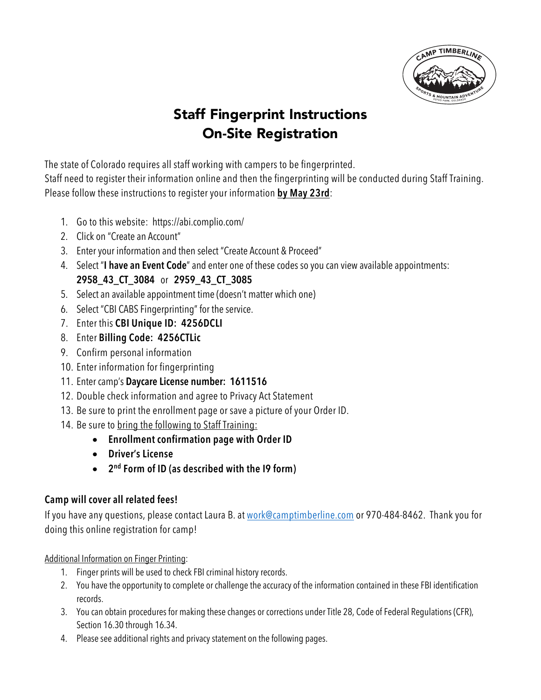

# Staff Fingerprint Instructions On-Site Registration

The state of Colorado requires all staff working with campers to be fingerprinted. Staff need to register their information online and then the fingerprinting will be conducted during Staff Training. Please follow these instructions to register your information **by May 23rd**:

- 1. Go to this website: https://abi.complio.com/
- 2. Click on "Create an Account"
- 3. Enter your information and then select "Create Account & Proceed"
- 4. Select "**I have an Event Code**" and enter one of these codes so you can view available appointments: **2958\_43\_CT\_3084** or **2959\_43\_CT\_3085**
- 5. Select an available appointment time (doesn't matter which one)
- 6. Select "CBI CABS Fingerprinting" for the service.
- 7. Enter this **CBI Unique ID: 4256DCLI**
- 8. Enter **Billing Code: 4256CTLic**
- 9. Confirm personal information
- 10. Enter information for fingerprinting
- 11. Enter camp's **Daycare License number: 1611516**
- 12. Double check information and agree to Privacy Act Statement
- 13. Be sure to print the enrollment page or save a picture of your Order ID.
- 14. Be sure to bring the following to Staff Training:
	- **Enrollment confirmation page with Order ID**
	- **Driver's License**
	- **2nd Form of ID (as described with the I9 form)**

## **Camp will cover all related fees!**

If you have any questions, please contact Laura B. at work@camptimberline.com or 970-484-8462. Thank you for doing this online registration for camp!

Additional Information on Finger Printing:

- 1. Finger prints will be used to check FBI criminal history records.
- 2. You have the opportunity to complete or challenge the accuracy of the information contained in these FBI identification records.
- 3. You can obtain procedures for making these changes or corrections under Title 28, Code of Federal Regulations (CFR), Section 16.30 through 16.34.
- 4. Please see additional rights and privacy statement on the following pages.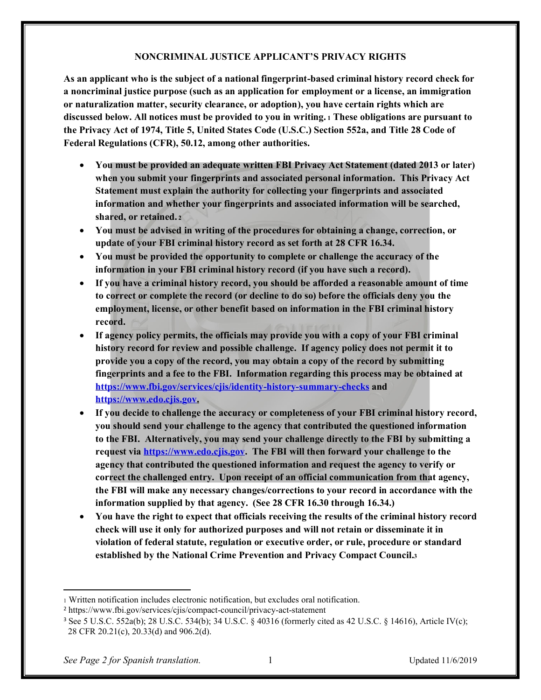#### **NONCRIMINAL JUSTICE APPLICANT'S PRIVACY RIGHTS**

**As an applicant who is the subject of a national fingerprint-based criminal history record check for a noncriminal justice purpose (such as an application for employment or a license, an immigration or naturalization matter, security clearance, or adoption), you have certain rights which are discussed below. All notices must be provided to you in writing. <sup>1</sup> These obligations are pursuant to the Privacy Act of 1974, Title 5, United States Code (U.S.C.) Section 552a, and Title 28 Code of Federal Regulations (CFR), 50.12, among other authorities.**

- x **You must be provided an adequate written FBI Privacy Act Statement (dated 2013 or later) when you submit your fingerprints and associated personal information. This Privacy Act Statement must explain the authority for collecting your fingerprints and associated information and whether your fingerprints and associated information will be searched, shared, or retained. <sup>2</sup>**
- x **You must be advised in writing of the procedures for obtaining a change, correction, or update of your FBI criminal history record as set forth at 28 CFR 16.34.**
- x **You must be provided the opportunity to complete or challenge the accuracy of the information in your FBI criminal history record (if you have such a record).**
- **•** If you have a criminal history record, you should be afforded a reasonable amount of time **to correct or complete the record (or decline to do so) before the officials deny you the employment, license, or other benefit based on information in the FBI criminal history record.**
- If agency policy permits, the officials may provide you with a copy of your FBI criminal **history record for review and possible challenge. If agency policy does not permit it to provide you a copy of the record, you may obtain a copy of the record by submitting fingerprints and a fee to the FBI. Information regarding this process may be obtained at https://www.fbi.gov/services/cjis/identity-history-summary-checks and https://www.edo.cjis.gov.**
- If you decide to challenge the accuracy or completeness of your FBI criminal history record, **you should send your challenge to the agency that contributed the questioned information to the FBI. Alternatively, you may send your challenge directly to the FBI by submitting a request via https://www.edo.cjis.gov. The FBI will then forward your challenge to the agency that contributed the questioned information and request the agency to verify or correct the challenged entry. Upon receipt of an official communication from that agency, the FBI will make any necessary changes/corrections to your record in accordance with the information supplied by that agency. (See 28 CFR 16.30 through 16.34.)**
- x **You have the right to expect that officials receiving the results of the criminal history record check will use it only for authorized purposes and will not retain or disseminate it in violation of federal statute, regulation or executive order, or rule, procedure or standard established by the National Crime Prevention and Privacy Compact Council.3**

*See Page 2 for Spanish translation.* 1 Updated 11/6/2019

<sup>1</sup> Written notification includes electronic notification, but excludes oral notification.

<sup>2</sup> https://www.fbi.gov/services/cjis/compact-council/privacy-act-statement

<sup>3</sup> See 5 U.S.C. 552a(b); 28 U.S.C. 534(b); 34 U.S.C. § 40316 (formerly cited as 42 U.S.C. § 14616), Article IV(c); 28 CFR 20.21(c), 20.33(d) and 906.2(d).